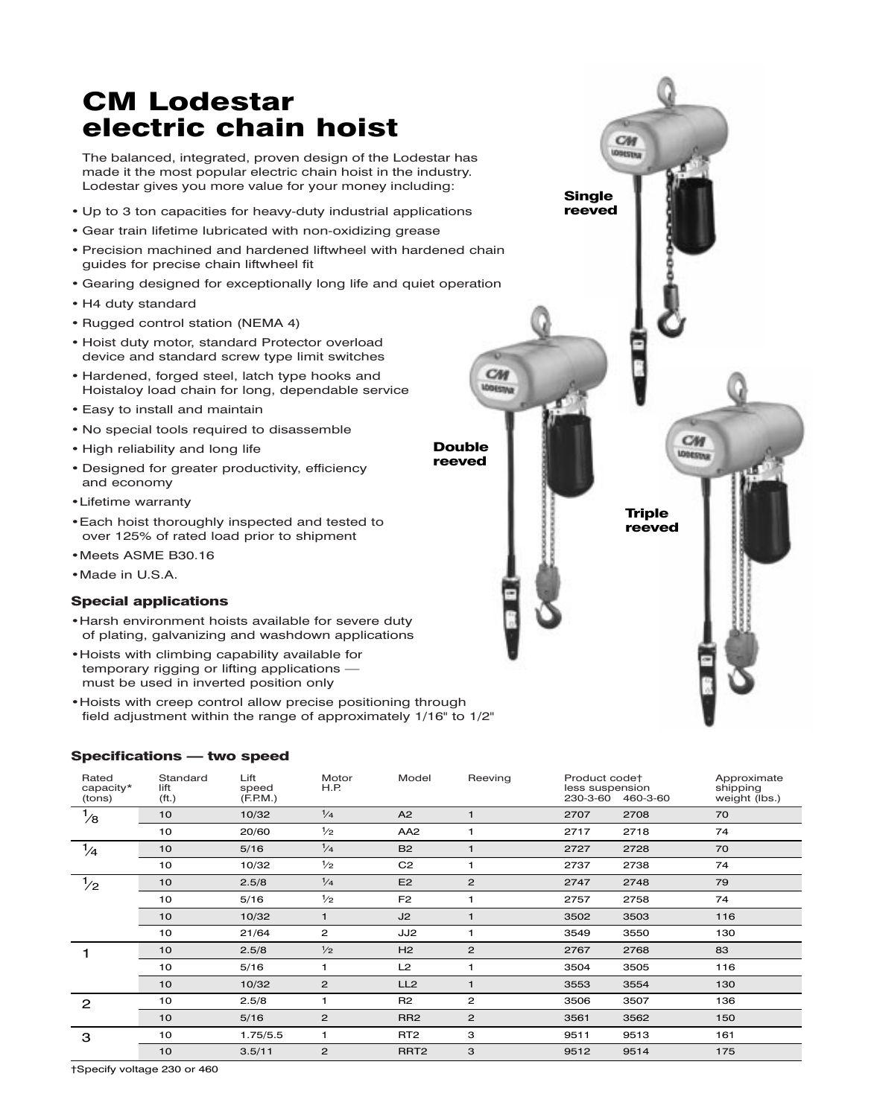# CM Lodestar electric chain hoist

The balanced, integrated, proven design of the Lodestar has made it the most popular electric chain hoist in the industry. Lodestar gives you more value for your money including:

- Up to 3 ton capacities for heavy-duty industrial applications
- Gear train lifetime lubricated with non-oxidizing grease
- Precision machined and hardened liftwheel with hardened chain guides for precise chain liftwheel fit
- Gearing designed for exceptionally long life and quiet operation
- H4 duty standard
- Rugged control station (NEMA 4)
- Hoist duty motor, standard Protector overload device and standard screw type limit switches
- Hardened, forged steel, latch type hooks and Hoistaloy load chain for long, dependable service
- Easy to install and maintain
- No special tools required to disassemble
- High reliability and long life
- Designed for greater productivity, efficiency and economy
- •Lifetime warranty
- •Each hoist thoroughly inspected and tested to over 125% of rated load prior to shipment
- •Meets ASME B30.16
- •Made in U.S.A.

### Special applications

- •Harsh environment hoists available for severe duty of plating, galvanizing and washdown applications
- •Hoists with climbing capability available for temporary rigging or lifting applications must be used in inverted position only
- •Hoists with creep control allow precise positioning through field adjustment within the range of approximately 1/16" to 1/2"

## Specifications — two speed

| Rated<br>capacity*<br>(tons) | Standard<br>lift<br>( <i>ft</i> .) | Lift<br>speed<br>(F.P.M.) | Motor<br>H.P.  | Model            | Reeving        | Product codet<br>less suspension<br>230-3-60 | 460-3-60 | Approximate<br>shipping<br>weight (lbs.) |
|------------------------------|------------------------------------|---------------------------|----------------|------------------|----------------|----------------------------------------------|----------|------------------------------------------|
| $\frac{1}{8}$                | 10                                 | 10/32                     | $\frac{1}{4}$  | A2               | $\mathbf{1}$   | 2707                                         | 2708     | 70                                       |
|                              | 10                                 | 20/60                     | $\frac{1}{2}$  | AA <sub>2</sub>  | 1              | 2717                                         | 2718     | 74                                       |
| $\frac{1}{4}$                | 10                                 | 5/16                      | $\frac{1}{4}$  | <b>B2</b>        | $\mathbf{1}$   | 2727                                         | 2728     | 70                                       |
|                              | 10                                 | 10/32                     | $\frac{1}{2}$  | C <sub>2</sub>   | 1              | 2737                                         | 2738     | 74                                       |
| $\frac{1}{2}$                | 10                                 | 2.5/8                     | $\frac{1}{4}$  | E <sub>2</sub>   | $\overline{2}$ | 2747                                         | 2748     | 79                                       |
|                              | 10                                 | 5/16                      | $\frac{1}{2}$  | F <sub>2</sub>   | 1              | 2757                                         | 2758     | 74                                       |
|                              | 10                                 | 10/32                     | $\mathbf{1}$   | J2               | $\mathbf{1}$   | 3502                                         | 3503     | 116                                      |
|                              | 10                                 | 21/64                     | 2              | JJ2              | 1              | 3549                                         | 3550     | 130                                      |
|                              | 10                                 | 2.5/8                     | $\frac{1}{2}$  | H2               | $\overline{2}$ | 2767                                         | 2768     | 83                                       |
|                              | 10                                 | 5/16                      | 1              | L2               | 1              | 3504                                         | 3505     | 116                                      |
|                              | 10                                 | 10/32                     | $\mathbf{2}$   | LL <sub>2</sub>  | $\mathbf{1}$   | 3553                                         | 3554     | 130                                      |
| 2                            | 10                                 | 2.5/8                     | 1              | R <sub>2</sub>   | $\overline{2}$ | 3506                                         | 3507     | 136                                      |
|                              | 10                                 | 5/16                      | $\mathbf{2}$   | RR <sub>2</sub>  | $\mathbf{2}$   | 3561                                         | 3562     | 150                                      |
| 3                            | 10                                 | 1.75/5.5                  | 1              | RT <sub>2</sub>  | З              | 9511                                         | 9513     | 161                                      |
|                              | 10                                 | 3.5/11                    | $\overline{2}$ | RRT <sub>2</sub> | 3              | 9512                                         | 9514     | 175                                      |